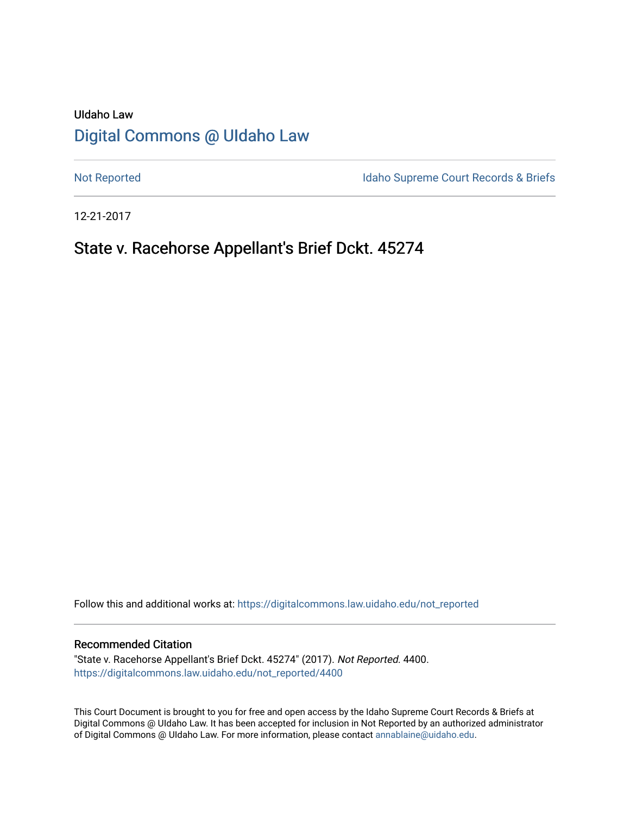# UIdaho Law [Digital Commons @ UIdaho Law](https://digitalcommons.law.uidaho.edu/)

[Not Reported](https://digitalcommons.law.uidaho.edu/not_reported) **Idaho Supreme Court Records & Briefs** 

12-21-2017

# State v. Racehorse Appellant's Brief Dckt. 45274

Follow this and additional works at: [https://digitalcommons.law.uidaho.edu/not\\_reported](https://digitalcommons.law.uidaho.edu/not_reported?utm_source=digitalcommons.law.uidaho.edu%2Fnot_reported%2F4400&utm_medium=PDF&utm_campaign=PDFCoverPages) 

#### Recommended Citation

"State v. Racehorse Appellant's Brief Dckt. 45274" (2017). Not Reported. 4400. [https://digitalcommons.law.uidaho.edu/not\\_reported/4400](https://digitalcommons.law.uidaho.edu/not_reported/4400?utm_source=digitalcommons.law.uidaho.edu%2Fnot_reported%2F4400&utm_medium=PDF&utm_campaign=PDFCoverPages)

This Court Document is brought to you for free and open access by the Idaho Supreme Court Records & Briefs at Digital Commons @ UIdaho Law. It has been accepted for inclusion in Not Reported by an authorized administrator of Digital Commons @ UIdaho Law. For more information, please contact [annablaine@uidaho.edu](mailto:annablaine@uidaho.edu).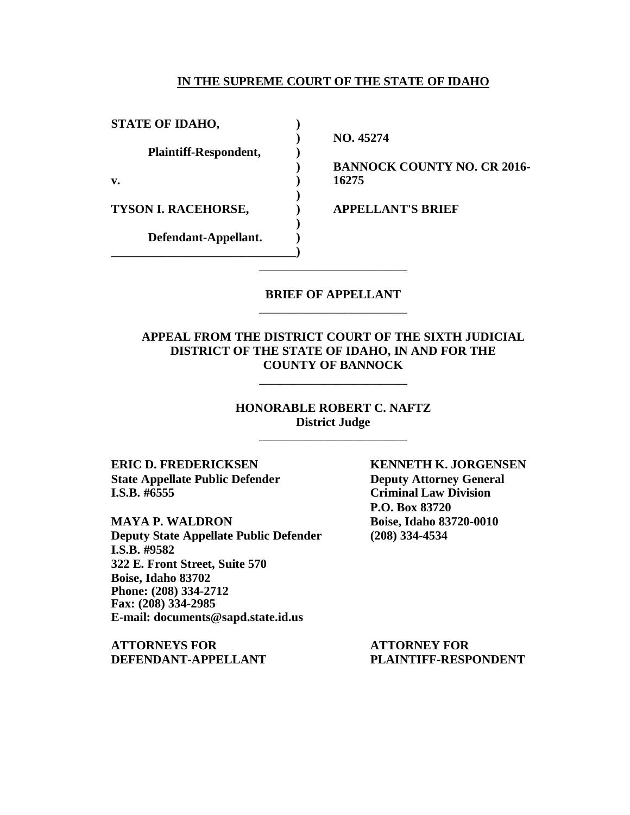### **IN THE SUPREME COURT OF THE STATE OF IDAHO**

**STATE OF IDAHO, ) Plaintiff-Respondent, ) v. ) 16275 TYSON I. RACEHORSE, ) APPELLANT'S BRIEF Defendant-Appellant. ) \_\_\_\_\_\_\_\_\_\_\_\_\_\_\_\_\_\_\_\_\_\_\_\_\_\_\_\_\_\_)**

**) NO. 45274**

**) BANNOCK COUNTY NO. CR 2016-**

### **BRIEF OF APPELLANT** \_\_\_\_\_\_\_\_\_\_\_\_\_\_\_\_\_\_\_\_\_\_\_\_

\_\_\_\_\_\_\_\_\_\_\_\_\_\_\_\_\_\_\_\_\_\_\_\_

**)**

**)**

### **APPEAL FROM THE DISTRICT COURT OF THE SIXTH JUDICIAL DISTRICT OF THE STATE OF IDAHO, IN AND FOR THE COUNTY OF BANNOCK**

\_\_\_\_\_\_\_\_\_\_\_\_\_\_\_\_\_\_\_\_\_\_\_\_

**HONORABLE ROBERT C. NAFTZ District Judge** \_\_\_\_\_\_\_\_\_\_\_\_\_\_\_\_\_\_\_\_\_\_\_\_

**ERIC D. FREDERICKSEN KENNETH K. JORGENSEN State Appellate Public Defender Deputy Attorney General I.S.B. #6555 Criminal Law Division**

**MAYA P. WALDRON Boise, Idaho 83720-0010 Deputy State Appellate Public Defender (208) 334-4534 I.S.B. #9582 322 E. Front Street, Suite 570 Boise, Idaho 83702 Phone: (208) 334-2712 Fax: (208) 334-2985 E-mail: documents@sapd.state.id.us**

**ATTORNEYS FOR ATTORNEY FOR DEFENDANT-APPELLANT PLAINTIFF-RESPONDENT**

**P.O. Box 83720**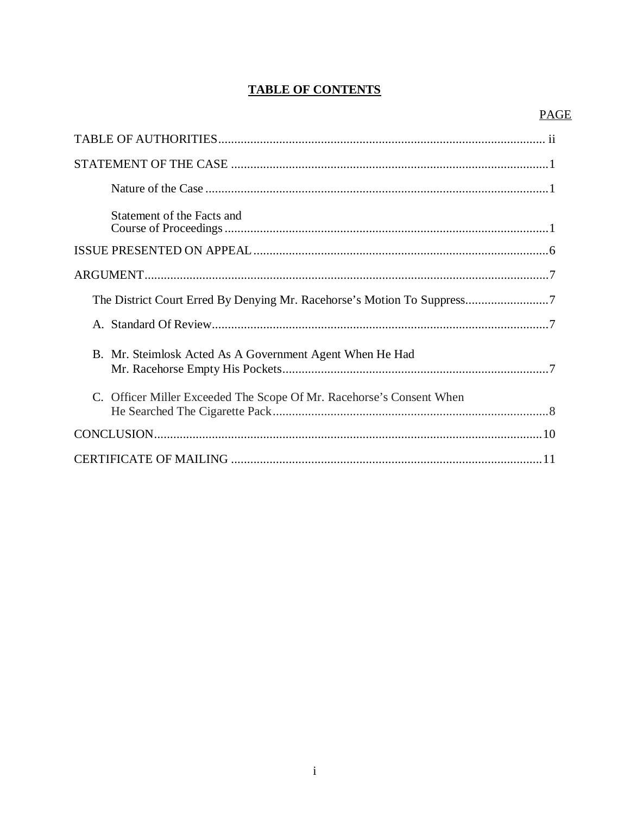# **TABLE OF CONTENTS**

## **PAGE**

| Statement of the Facts and                                        |
|-------------------------------------------------------------------|
|                                                                   |
|                                                                   |
|                                                                   |
|                                                                   |
| B. Mr. Steimlosk Acted As A Government Agent When He Had          |
| Officer Miller Exceeded The Scope Of Mr. Racehorse's Consent When |
|                                                                   |
|                                                                   |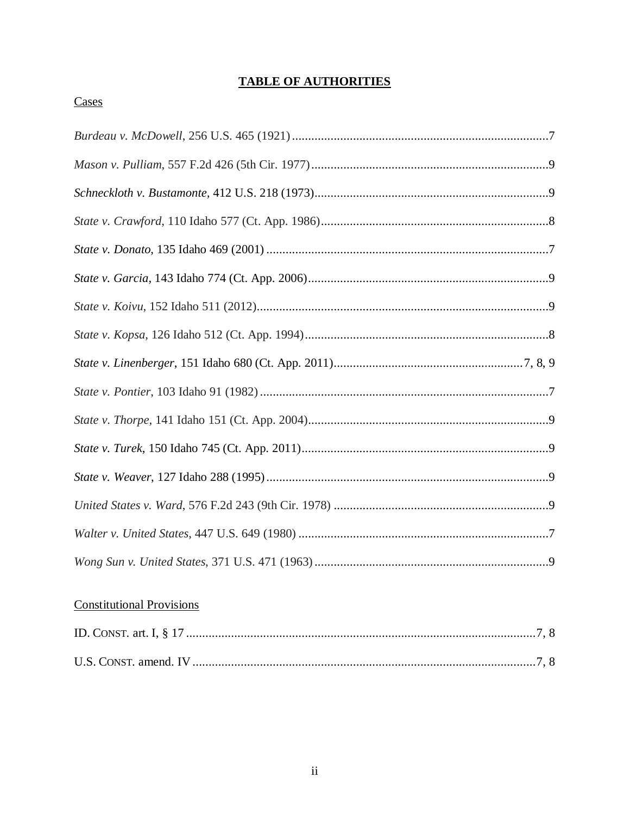# **TABLE OF AUTHORITIES**

## Cases

# **Constitutional Provisions**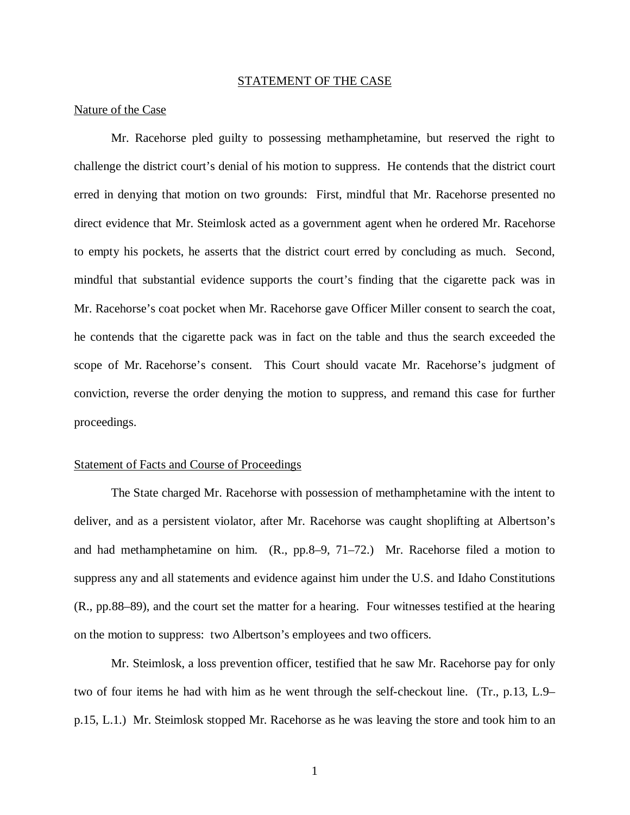#### STATEMENT OF THE CASE

#### Nature of the Case

Mr. Racehorse pled guilty to possessing methamphetamine, but reserved the right to challenge the district court's denial of his motion to suppress. He contends that the district court erred in denying that motion on two grounds: First, mindful that Mr. Racehorse presented no direct evidence that Mr. Steimlosk acted as a government agent when he ordered Mr. Racehorse to empty his pockets, he asserts that the district court erred by concluding as much. Second, mindful that substantial evidence supports the court's finding that the cigarette pack was in Mr. Racehorse's coat pocket when Mr. Racehorse gave Officer Miller consent to search the coat, he contends that the cigarette pack was in fact on the table and thus the search exceeded the scope of Mr. Racehorse's consent. This Court should vacate Mr. Racehorse's judgment of conviction, reverse the order denying the motion to suppress, and remand this case for further proceedings.

#### Statement of Facts and Course of Proceedings

The State charged Mr. Racehorse with possession of methamphetamine with the intent to deliver, and as a persistent violator, after Mr. Racehorse was caught shoplifting at Albertson's and had methamphetamine on him. (R., pp.8–9, 71–72.) Mr. Racehorse filed a motion to suppress any and all statements and evidence against him under the U.S. and Idaho Constitutions (R., pp.88–89), and the court set the matter for a hearing. Four witnesses testified at the hearing on the motion to suppress: two Albertson's employees and two officers.

Mr. Steimlosk, a loss prevention officer, testified that he saw Mr. Racehorse pay for only two of four items he had with him as he went through the self-checkout line. (Tr., p.13, L.9– p.15, L.1.) Mr. Steimlosk stopped Mr. Racehorse as he was leaving the store and took him to an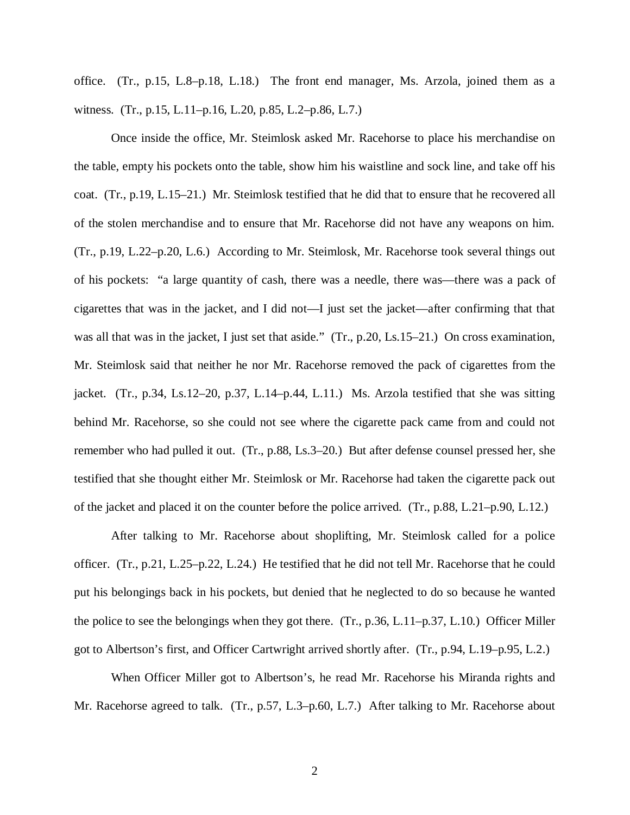office. (Tr., p.15, L.8–p.18, L.18.) The front end manager, Ms. Arzola, joined them as a witness. (Tr., p.15, L.11–p.16, L.20, p.85, L.2–p.86, L.7.)

Once inside the office, Mr. Steimlosk asked Mr. Racehorse to place his merchandise on the table, empty his pockets onto the table, show him his waistline and sock line, and take off his coat. (Tr., p.19, L.15–21.) Mr. Steimlosk testified that he did that to ensure that he recovered all of the stolen merchandise and to ensure that Mr. Racehorse did not have any weapons on him. (Tr., p.19, L.22–p.20, L.6.) According to Mr. Steimlosk, Mr. Racehorse took several things out of his pockets: "a large quantity of cash, there was a needle, there was—there was a pack of cigarettes that was in the jacket, and I did not—I just set the jacket—after confirming that that was all that was in the jacket, I just set that aside." (Tr., p.20, Ls.15–21.) On cross examination, Mr. Steimlosk said that neither he nor Mr. Racehorse removed the pack of cigarettes from the jacket. (Tr., p.34, Ls.12–20, p.37, L.14–p.44, L.11.) Ms. Arzola testified that she was sitting behind Mr. Racehorse, so she could not see where the cigarette pack came from and could not remember who had pulled it out. (Tr., p.88, Ls.3–20.) But after defense counsel pressed her, she testified that she thought either Mr. Steimlosk or Mr. Racehorse had taken the cigarette pack out of the jacket and placed it on the counter before the police arrived. (Tr., p.88, L.21–p.90, L.12.)

After talking to Mr. Racehorse about shoplifting, Mr. Steimlosk called for a police officer. (Tr., p.21, L.25–p.22, L.24.) He testified that he did not tell Mr. Racehorse that he could put his belongings back in his pockets, but denied that he neglected to do so because he wanted the police to see the belongings when they got there. (Tr., p.36, L.11–p.37, L.10.) Officer Miller got to Albertson's first, and Officer Cartwright arrived shortly after. (Tr., p.94, L.19–p.95, L.2.)

When Officer Miller got to Albertson's, he read Mr. Racehorse his Miranda rights and Mr. Racehorse agreed to talk. (Tr., p.57, L.3–p.60, L.7.) After talking to Mr. Racehorse about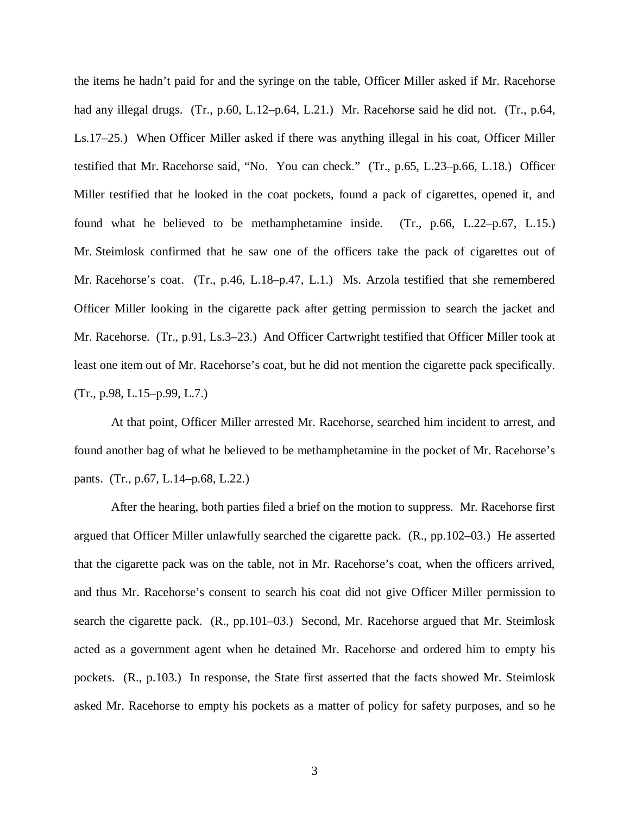the items he hadn't paid for and the syringe on the table, Officer Miller asked if Mr. Racehorse had any illegal drugs. (Tr., p.60, L.12–p.64, L.21.) Mr. Racehorse said he did not. (Tr., p.64, Ls.17–25.) When Officer Miller asked if there was anything illegal in his coat, Officer Miller testified that Mr. Racehorse said, "No. You can check." (Tr., p.65, L.23–p.66, L.18.) Officer Miller testified that he looked in the coat pockets, found a pack of cigarettes, opened it, and found what he believed to be methamphetamine inside. (Tr., p.66, L.22–p.67, L.15.) Mr. Steimlosk confirmed that he saw one of the officers take the pack of cigarettes out of Mr. Racehorse's coat. (Tr., p.46, L.18–p.47, L.1.) Ms. Arzola testified that she remembered Officer Miller looking in the cigarette pack after getting permission to search the jacket and Mr. Racehorse. (Tr., p.91, Ls.3–23.) And Officer Cartwright testified that Officer Miller took at least one item out of Mr. Racehorse's coat, but he did not mention the cigarette pack specifically. (Tr., p.98, L.15–p.99, L.7.)

At that point, Officer Miller arrested Mr. Racehorse, searched him incident to arrest, and found another bag of what he believed to be methamphetamine in the pocket of Mr. Racehorse's pants. (Tr., p.67, L.14–p.68, L.22.)

After the hearing, both parties filed a brief on the motion to suppress. Mr. Racehorse first argued that Officer Miller unlawfully searched the cigarette pack. (R., pp.102–03.) He asserted that the cigarette pack was on the table, not in Mr. Racehorse's coat, when the officers arrived, and thus Mr. Racehorse's consent to search his coat did not give Officer Miller permission to search the cigarette pack. (R., pp.101–03.) Second, Mr. Racehorse argued that Mr. Steimlosk acted as a government agent when he detained Mr. Racehorse and ordered him to empty his pockets. (R., p.103.) In response, the State first asserted that the facts showed Mr. Steimlosk asked Mr. Racehorse to empty his pockets as a matter of policy for safety purposes, and so he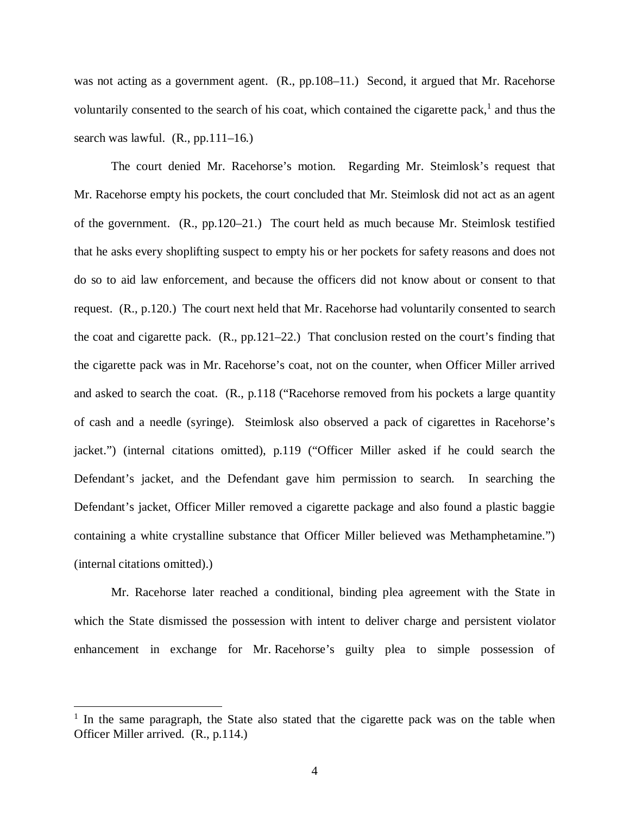was not acting as a government agent. (R., pp.108–11.) Second, it argued that Mr. Racehorse voluntarily consented to the search of his coat, which contained the cigarette pack, $<sup>1</sup>$  $<sup>1</sup>$  $<sup>1</sup>$  and thus the</sup> search was lawful.  $(R., pp.111-16.)$ 

The court denied Mr. Racehorse's motion. Regarding Mr. Steimlosk's request that Mr. Racehorse empty his pockets, the court concluded that Mr. Steimlosk did not act as an agent of the government. (R., pp.120–21.) The court held as much because Mr. Steimlosk testified that he asks every shoplifting suspect to empty his or her pockets for safety reasons and does not do so to aid law enforcement, and because the officers did not know about or consent to that request. (R., p.120.) The court next held that Mr. Racehorse had voluntarily consented to search the coat and cigarette pack. (R., pp.121–22.) That conclusion rested on the court's finding that the cigarette pack was in Mr. Racehorse's coat, not on the counter, when Officer Miller arrived and asked to search the coat. (R., p.118 ("Racehorse removed from his pockets a large quantity of cash and a needle (syringe). Steimlosk also observed a pack of cigarettes in Racehorse's jacket.") (internal citations omitted), p.119 ("Officer Miller asked if he could search the Defendant's jacket, and the Defendant gave him permission to search. In searching the Defendant's jacket, Officer Miller removed a cigarette package and also found a plastic baggie containing a white crystalline substance that Officer Miller believed was Methamphetamine.") (internal citations omitted).)

Mr. Racehorse later reached a conditional, binding plea agreement with the State in which the State dismissed the possession with intent to deliver charge and persistent violator enhancement in exchange for Mr. Racehorse's guilty plea to simple possession of

<span id="page-7-0"></span><sup>&</sup>lt;sup>1</sup> In the same paragraph, the State also stated that the cigarette pack was on the table when Officer Miller arrived. (R., p.114.)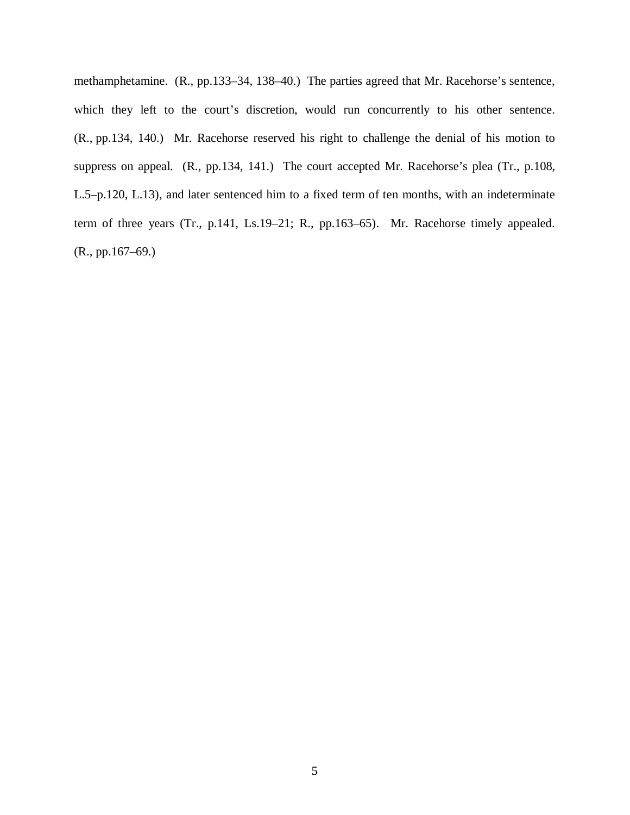methamphetamine. (R., pp.133–34, 138–40.) The parties agreed that Mr. Racehorse's sentence, which they left to the court's discretion, would run concurrently to his other sentence. (R., pp.134, 140.) Mr. Racehorse reserved his right to challenge the denial of his motion to suppress on appeal. (R., pp.134, 141.) The court accepted Mr. Racehorse's plea (Tr., p.108, L.5–p.120, L.13), and later sentenced him to a fixed term of ten months, with an indeterminate term of three years (Tr., p.141, Ls.19–21; R., pp.163–65). Mr. Racehorse timely appealed. (R., pp.167–69.)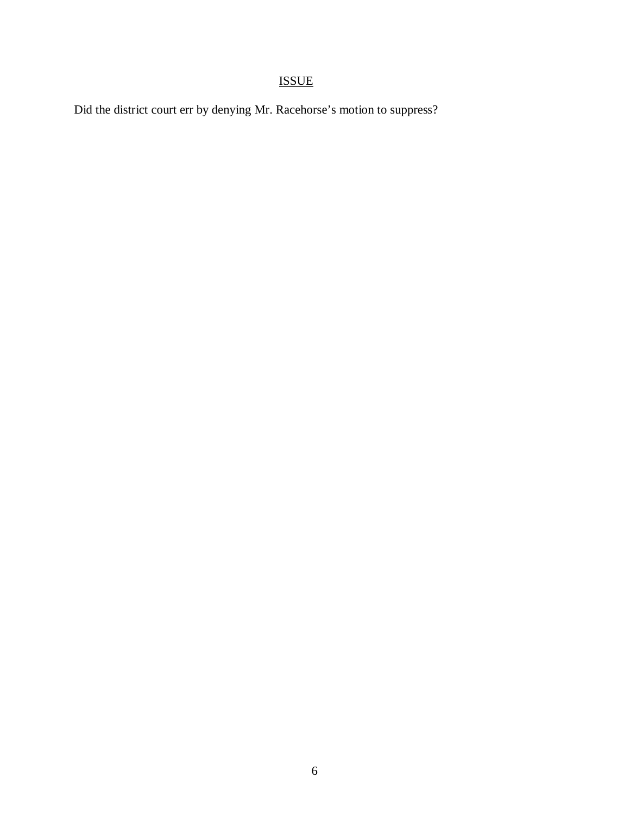# ISSUE

Did the district court err by denying Mr. Racehorse's motion to suppress?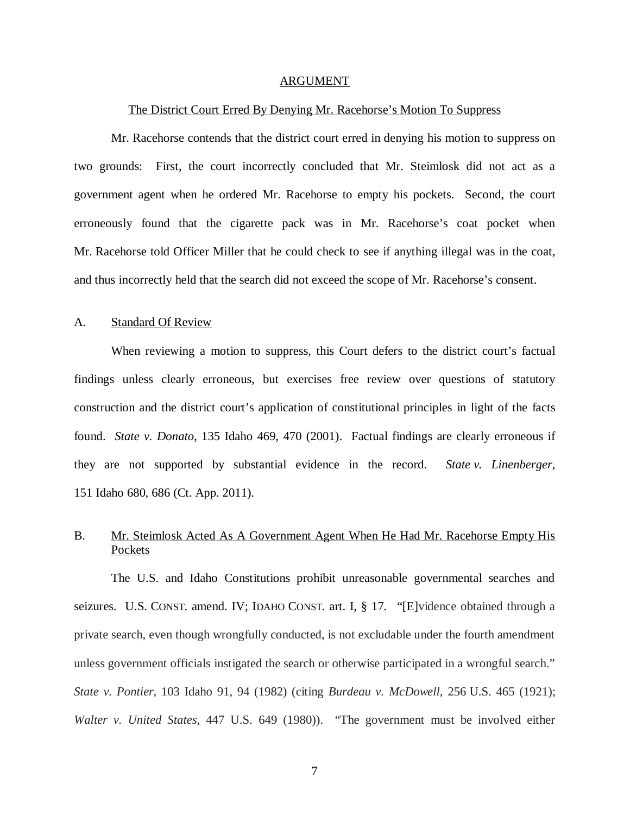#### ARGUMENT

#### The District Court Erred By Denying Mr. Racehorse's Motion To Suppress

Mr. Racehorse contends that the district court erred in denying his motion to suppress on two grounds: First, the court incorrectly concluded that Mr. Steimlosk did not act as a government agent when he ordered Mr. Racehorse to empty his pockets. Second, the court erroneously found that the cigarette pack was in Mr. Racehorse's coat pocket when Mr. Racehorse told Officer Miller that he could check to see if anything illegal was in the coat, and thus incorrectly held that the search did not exceed the scope of Mr. Racehorse's consent.

### A. Standard Of Review

When reviewing a motion to suppress, this Court defers to the district court's factual findings unless clearly erroneous, but exercises free review over questions of statutory construction and the district court's application of constitutional principles in light of the facts found. *State v. Donato*, 135 Idaho 469, 470 (2001). Factual findings are clearly erroneous if they are not supported by substantial evidence in the record. *State v. Linenberger*, 151 Idaho 680, 686 (Ct. App. 2011).

## B. Mr. Steimlosk Acted As A Government Agent When He Had Mr. Racehorse Empty His Pockets

The U.S. and Idaho Constitutions prohibit unreasonable governmental searches and seizures. U.S. CONST. amend. IV; IDAHO CONST. art. I, § 17. "[E]vidence obtained through a private search, even though wrongfully conducted, is not excludable under the fourth amendment unless government officials instigated the search or otherwise participated in a wrongful search." *State v. Pontier*, 103 Idaho 91, 94 (1982) (citing *Burdeau v. McDowell*, 256 U.S. 465 (1921); *Walter v. United States*, 447 U.S. 649 (1980)). "The government must be involved either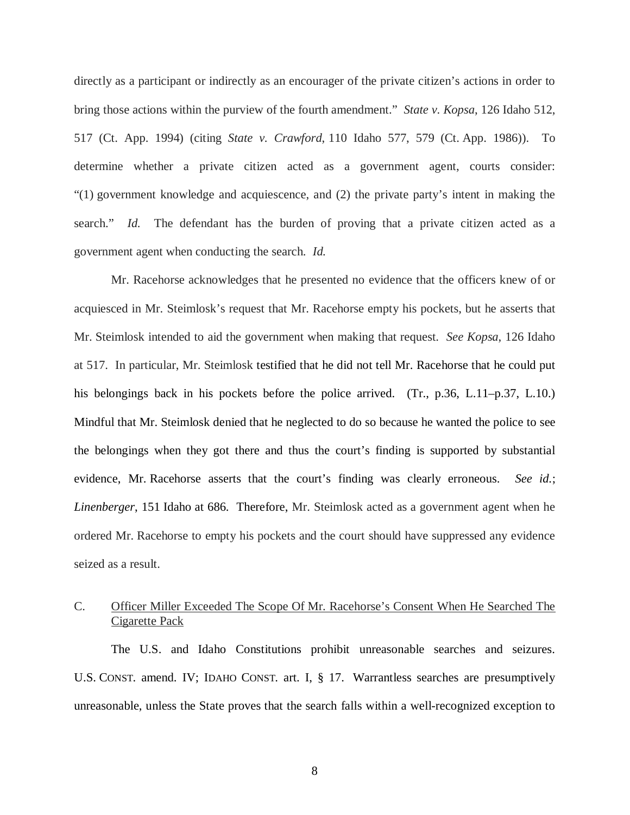directly as a participant or indirectly as an encourager of the private citizen's actions in order to bring those actions within the purview of the fourth amendment." *State v. Kopsa*, 126 Idaho 512, 517 (Ct. App. 1994) (citing *State v. Crawford*, 110 Idaho 577, 579 (Ct. App. 1986)). To determine whether a private citizen acted as a government agent, courts consider: "(1) government knowledge and acquiescence, and (2) the private party's intent in making the search." *Id.* The defendant has the burden of proving that a private citizen acted as a government agent when conducting the search. *Id.*

Mr. Racehorse acknowledges that he presented no evidence that the officers knew of or acquiesced in Mr. Steimlosk's request that Mr. Racehorse empty his pockets, but he asserts that Mr. Steimlosk intended to aid the government when making that request. *See Kopsa*, 126 Idaho at 517. In particular, Mr. Steimlosk testified that he did not tell Mr. Racehorse that he could put his belongings back in his pockets before the police arrived. (Tr., p.36, L.11–p.37, L.10.) Mindful that Mr. Steimlosk denied that he neglected to do so because he wanted the police to see the belongings when they got there and thus the court's finding is supported by substantial evidence, Mr. Racehorse asserts that the court's finding was clearly erroneous. *See id.*; *Linenberger*, 151 Idaho at 686. Therefore, Mr. Steimlosk acted as a government agent when he ordered Mr. Racehorse to empty his pockets and the court should have suppressed any evidence seized as a result.

## C. Officer Miller Exceeded The Scope Of Mr. Racehorse's Consent When He Searched The Cigarette Pack

The U.S. and Idaho Constitutions prohibit unreasonable searches and seizures. U.S. CONST. amend. IV; IDAHO CONST. art. I, § 17. Warrantless searches are presumptively unreasonable, unless the State proves that the search falls within a well-recognized exception to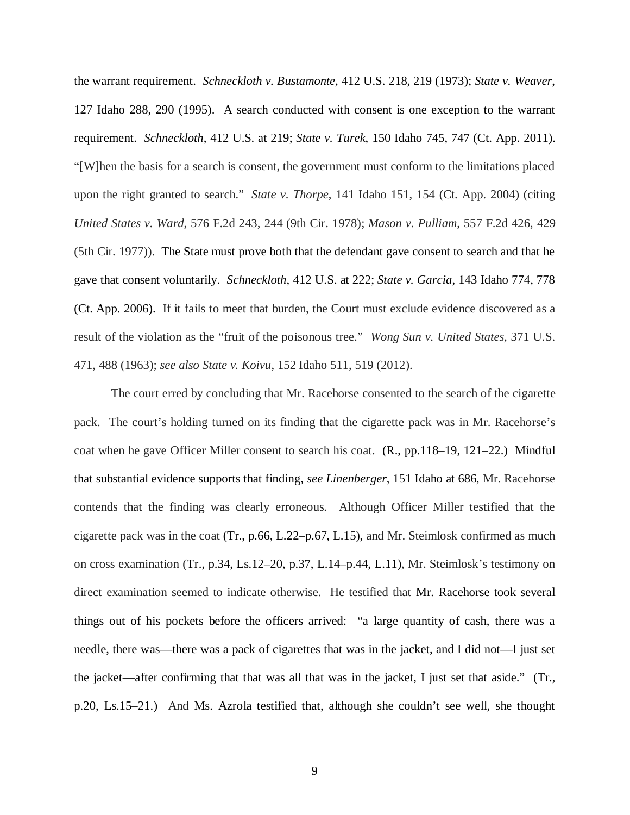the warrant requirement. *Schneckloth v. Bustamonte,* 412 U.S. 218, 219 (1973); *State v. Weaver*, 127 Idaho 288, 290 (1995). A search conducted with consent is one exception to the warrant requirement. *Schneckloth*, 412 U.S. at 219; *State v. Turek*, 150 Idaho 745, 747 (Ct. App. 2011). "[W]hen the basis for a search is consent, the government must conform to the limitations placed upon the right granted to search." *State v. Thorpe*, 141 Idaho 151, 154 (Ct. App. 2004) (citing *United States v. Ward*, 576 F.2d 243, 244 (9th Cir. 1978); *Mason v. Pulliam*, 557 F.2d 426, 429 (5th Cir. 1977)). The State must prove both that the defendant gave consent to search and that he gave that consent voluntarily. *Schneckloth*, 412 U.S. at 222; *State v. Garcia*, 143 Idaho 774, 778 (Ct. App. 2006). If it fails to meet that burden, the Court must exclude evidence discovered as a result of the violation as the "fruit of the poisonous tree." *Wong Sun v. United States*, 371 U.S. 471, 488 (1963); *see also State v. Koivu*, 152 Idaho 511, 519 (2012).

The court erred by concluding that Mr. Racehorse consented to the search of the cigarette pack. The court's holding turned on its finding that the cigarette pack was in Mr. Racehorse's coat when he gave Officer Miller consent to search his coat. (R., pp.118–19, 121–22.) Mindful that substantial evidence supports that finding, *see Linenberger*, 151 Idaho at 686, Mr. Racehorse contends that the finding was clearly erroneous. Although Officer Miller testified that the cigarette pack was in the coat (Tr., p.66, L.22–p.67, L.15), and Mr. Steimlosk confirmed as much on cross examination (Tr., p.34, Ls.12–20, p.37, L.14–p.44, L.11), Mr. Steimlosk's testimony on direct examination seemed to indicate otherwise. He testified that Mr. Racehorse took several things out of his pockets before the officers arrived: "a large quantity of cash, there was a needle, there was—there was a pack of cigarettes that was in the jacket, and I did not—I just set the jacket—after confirming that that was all that was in the jacket, I just set that aside." (Tr., p.20, Ls.15–21.) And Ms. Azrola testified that, although she couldn't see well, she thought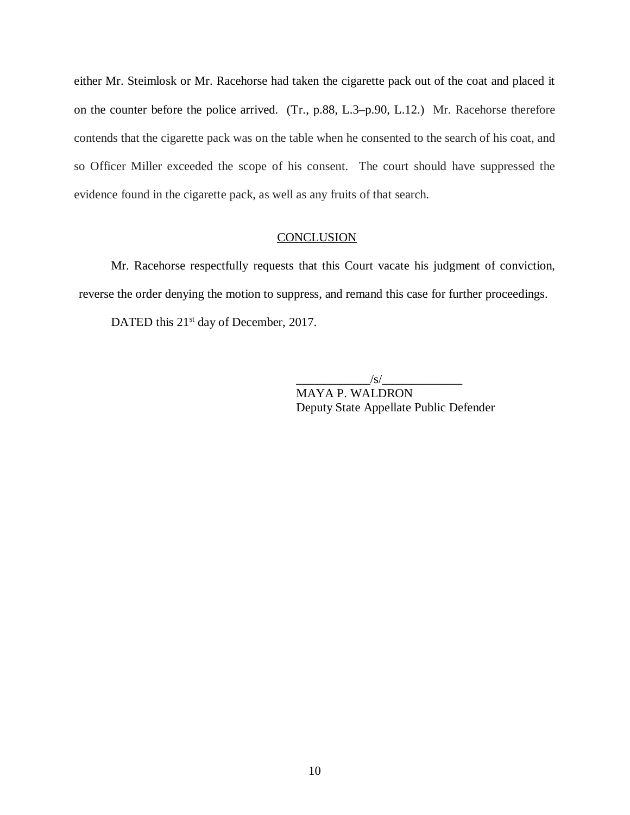either Mr. Steimlosk or Mr. Racehorse had taken the cigarette pack out of the coat and placed it on the counter before the police arrived. (Tr., p.88, L.3–p.90, L.12.) Mr. Racehorse therefore contends that the cigarette pack was on the table when he consented to the search of his coat, and so Officer Miller exceeded the scope of his consent. The court should have suppressed the evidence found in the cigarette pack, as well as any fruits of that search.

### **CONCLUSION**

Mr. Racehorse respectfully requests that this Court vacate his judgment of conviction, reverse the order denying the motion to suppress, and remand this case for further proceedings.

DATED this 21<sup>st</sup> day of December, 2017.

 $\sqrt{s/2}$ 

MAYA P. WALDRON Deputy State Appellate Public Defender